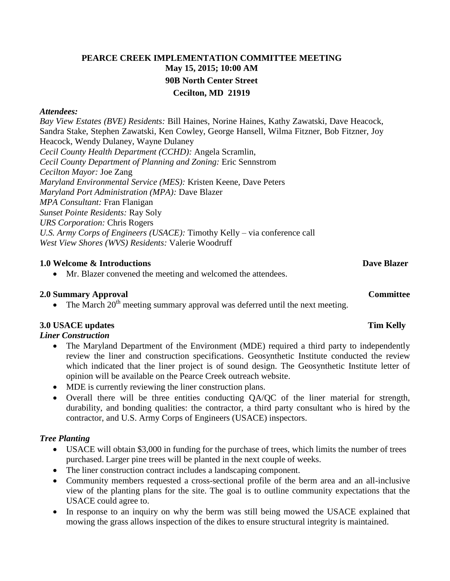# **PEARCE CREEK IMPLEMENTATION COMMITTEE MEETING May 15, 2015; 10:00 AM 90B North Center Street Cecilton, MD 21919**

#### *Attendees:*

*Bay View Estates (BVE) Residents:* Bill Haines, Norine Haines, Kathy Zawatski, Dave Heacock, Sandra Stake, Stephen Zawatski, Ken Cowley, George Hansell, Wilma Fitzner, Bob Fitzner, Joy Heacock, Wendy Dulaney, Wayne Dulaney *Cecil County Health Department (CCHD):* Angela Scramlin, *Cecil County Department of Planning and Zoning:* Eric Sennstrom *Cecilton Mayor:* Joe Zang *Maryland Environmental Service (MES):* Kristen Keene, Dave Peters *Maryland Port Administration (MPA):* Dave Blazer *MPA Consultant:* Fran Flanigan *Sunset Pointe Residents:* Ray Soly *URS Corporation:* Chris Rogers *U.S. Army Corps of Engineers (USACE):* Timothy Kelly – via conference call *West View Shores (WVS) Residents:* Valerie Woodruff

### **1.0 Welcome & Introductions** Dave Blazer

Mr. Blazer convened the meeting and welcomed the attendees.

### **2.0 Summary Approval Committee**

• The March  $20<sup>th</sup>$  meeting summary approval was deferred until the next meeting.

## **3.0 USACE updates Tim Kelly**

*Liner Construction*

- The Maryland Department of the Environment (MDE) required a third party to independently review the liner and construction specifications. Geosynthetic Institute conducted the review which indicated that the liner project is of sound design. The Geosynthetic Institute letter of opinion will be available on the Pearce Creek outreach website.
- MDE is currently reviewing the liner construction plans.
- Overall there will be three entities conducting QA/QC of the liner material for strength, durability, and bonding qualities: the contractor, a third party consultant who is hired by the contractor, and U.S. Army Corps of Engineers (USACE) inspectors.

### *Tree Planting*

- USACE will obtain \$3,000 in funding for the purchase of trees, which limits the number of trees purchased. Larger pine trees will be planted in the next couple of weeks.
- The liner construction contract includes a landscaping component.
- Community members requested a cross-sectional profile of the berm area and an all-inclusive view of the planting plans for the site. The goal is to outline community expectations that the USACE could agree to.
- In response to an inquiry on why the berm was still being mowed the USACE explained that mowing the grass allows inspection of the dikes to ensure structural integrity is maintained.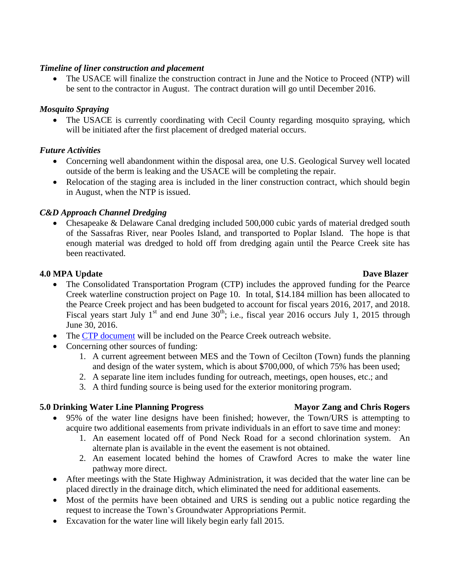### *Timeline of liner construction and placement*

 The USACE will finalize the construction contract in June and the Notice to Proceed (NTP) will be sent to the contractor in August. The contract duration will go until December 2016.

## *Mosquito Spraying*

• The USACE is currently coordinating with Cecil County regarding mosquito spraying, which will be initiated after the first placement of dredged material occurs.

## *Future Activities*

- Concerning well abandonment within the disposal area, one U.S. Geological Survey well located outside of the berm is leaking and the USACE will be completing the repair.
- Relocation of the staging area is included in the liner construction contract, which should begin in August, when the NTP is issued.

## *C&D Approach Channel Dredging*

• Chesapeake & Delaware Canal dredging included 500,000 cubic yards of material dredged south of the Sassafras River, near Pooles Island, and transported to Poplar Island. The hope is that enough material was dredged to hold off from dredging again until the Pearce Creek site has been reactivated.

### **4.0 MPA Update Dave Blazer** Dave Blazer

- The Consolidated Transportation Program (CTP) includes the approved funding for the Pearce Creek waterline construction project on Page 10. In total, \$14.184 million has been allocated to the Pearce Creek project and has been budgeted to account for fiscal years 2016, 2017, and 2018. Fiscal years start July 1<sup>st</sup> and end June  $30^{th}$ ; i.e., fiscal year 2016 occurs July 1, 2015 through June 30, 2016.
- The [CTP document](http://www.mdot.maryland.gov/Office_of_Planning_and_Capital_Programming/CTP/CTP_15_20/CTP_Documents/MPA.pdf) will be included on the Pearce Creek outreach website.
- Concerning other sources of funding:
	- 1. A current agreement between MES and the Town of Cecilton (Town) funds the planning and design of the water system, which is about \$700,000, of which 75% has been used;
	- 2. A separate line item includes funding for outreach, meetings, open houses, etc.; and
	- 3. A third funding source is being used for the exterior monitoring program.

## **5.0 Drinking Water Line Planning Progress Mayor Zang and Chris Rogers**

- 95% of the water line designs have been finished; however, the Town/URS is attempting to acquire two additional easements from private individuals in an effort to save time and money:
	- 1. An easement located off of Pond Neck Road for a second chlorination system. An alternate plan is available in the event the easement is not obtained.
	- 2. An easement located behind the homes of Crawford Acres to make the water line pathway more direct.
- After meetings with the State Highway Administration, it was decided that the water line can be placed directly in the drainage ditch, which eliminated the need for additional easements.
- Most of the permits have been obtained and URS is sending out a public notice regarding the request to increase the Town's Groundwater Appropriations Permit.
- Excavation for the water line will likely begin early fall 2015.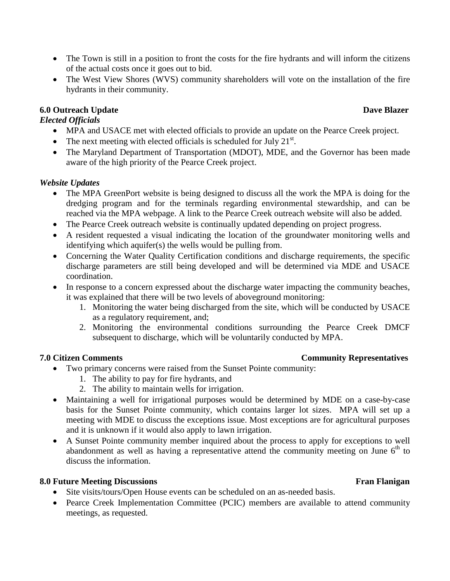- The Town is still in a position to front the costs for the fire hydrants and will inform the citizens of the actual costs once it goes out to bid.
- The West View Shores (WVS) community shareholders will vote on the installation of the fire hydrants in their community.

## **6.0** Outreach Update Dave Blazer

## *Elected Officials*

- MPA and USACE met with elected officials to provide an update on the Pearce Creek project.
- The next meeting with elected officials is scheduled for July  $21^{st}$ .
- The Maryland Department of Transportation (MDOT), MDE, and the Governor has been made aware of the high priority of the Pearce Creek project.

### *Website Updates*

- The MPA GreenPort website is being designed to discuss all the work the MPA is doing for the dredging program and for the terminals regarding environmental stewardship, and can be reached via the MPA webpage. A link to the Pearce Creek outreach website will also be added.
- The Pearce Creek outreach website is continually updated depending on project progress.
- A resident requested a visual indicating the location of the groundwater monitoring wells and identifying which aquifer(s) the wells would be pulling from.
- Concerning the Water Quality Certification conditions and discharge requirements, the specific discharge parameters are still being developed and will be determined via MDE and USACE coordination.
- In response to a concern expressed about the discharge water impacting the community beaches, it was explained that there will be two levels of aboveground monitoring:
	- 1. Monitoring the water being discharged from the site, which will be conducted by USACE as a regulatory requirement, and;
	- 2. Monitoring the environmental conditions surrounding the Pearce Creek DMCF subsequent to discharge, which will be voluntarily conducted by MPA.

- Two primary concerns were raised from the Sunset Pointe community:
	- 1. The ability to pay for fire hydrants, and
	- 2. The ability to maintain wells for irrigation.
- Maintaining a well for irrigational purposes would be determined by MDE on a case-by-case basis for the Sunset Pointe community, which contains larger lot sizes. MPA will set up a meeting with MDE to discuss the exceptions issue. Most exceptions are for agricultural purposes and it is unknown if it would also apply to lawn irrigation.
- A Sunset Pointe community member inquired about the process to apply for exceptions to well abandonment as well as having a representative attend the community meeting on June  $6<sup>th</sup>$  to discuss the information.

### **8.0** Future Meeting Discussions **Figure 2.1 <b>F**ran Flanigan **Fran** Flanigan

- Site visits/tours/Open House events can be scheduled on an as-needed basis.
- Pearce Creek Implementation Committee (PCIC) members are available to attend community meetings, as requested.

### **7.0 Citizen Comments** Community Representatives